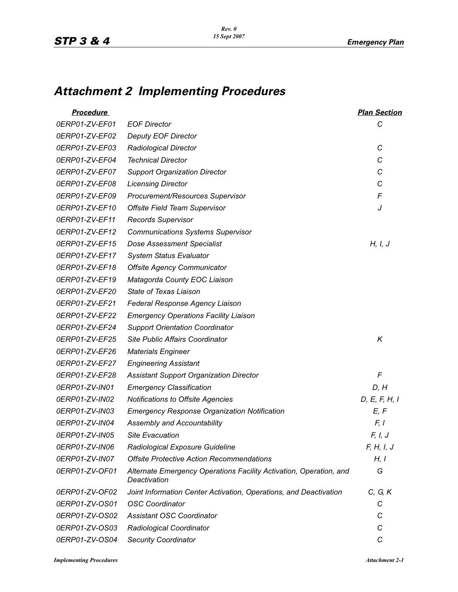## *Attachment 2 Implementing Procedures*

| <b>Procedure</b> |                                                                                    | <b>Plan Section</b> |
|------------------|------------------------------------------------------------------------------------|---------------------|
| 0ERP01-ZV-EF01   | <b>EOF Director</b>                                                                | С                   |
| 0ERP01-ZV-EF02   | <b>Deputy EOF Director</b>                                                         |                     |
| 0ERP01-ZV-EF03   | Radiological Director                                                              | С                   |
| 0ERP01-ZV-EF04   | <b>Technical Director</b>                                                          | C                   |
| 0ERP01-ZV-EF07   | <b>Support Organization Director</b>                                               | C                   |
| 0ERP01-ZV-EF08   | <b>Licensing Director</b>                                                          | C                   |
| 0ERP01-ZV-EF09   | Procurement/Resources Supervisor                                                   | F                   |
| 0ERP01-ZV-EF10   | <b>Offsite Field Team Supervisor</b>                                               | J                   |
| 0ERP01-ZV-EF11   | <b>Records Supervisor</b>                                                          |                     |
| 0ERP01-ZV-EF12   | <b>Communications Systems Supervisor</b>                                           |                     |
| 0ERP01-ZV-EF15   | <b>Dose Assessment Specialist</b>                                                  | H, I, J             |
| 0ERP01-ZV-EF17   | <b>System Status Evaluator</b>                                                     |                     |
| 0ERP01-ZV-EF18   | <b>Offsite Agency Communicator</b>                                                 |                     |
| 0ERP01-ZV-EF19   | Matagorda County EOC Liaison                                                       |                     |
| 0ERP01-ZV-EF20   | State of Texas Liaison                                                             |                     |
| 0ERP01-ZV-EF21   | Federal Response Agency Liaison                                                    |                     |
| 0ERP01-ZV-EF22   | <b>Emergency Operations Facility Liaison</b>                                       |                     |
| 0ERP01-ZV-EF24   | <b>Support Orientation Coordinator</b>                                             |                     |
| 0ERP01-ZV-EF25   | Site Public Affairs Coordinator                                                    | Κ                   |
| 0ERP01-ZV-EF26   | <b>Materials Engineer</b>                                                          |                     |
| 0ERP01-ZV-EF27   | <b>Engineering Assistant</b>                                                       |                     |
| 0ERP01-ZV-EF28   | <b>Assistant Support Organization Director</b>                                     | F                   |
| 0ERP01-ZV-IN01   | <b>Emergency Classification</b>                                                    | D, H                |
| 0ERP01-ZV-IN02   | Notifications to Offsite Agencies                                                  | D, E, F, H, I       |
| 0ERP01-ZV-IN03   | <b>Emergency Response Organization Notification</b>                                | E, F                |
| 0ERP01-ZV-IN04   | Assembly and Accountability                                                        | F, I                |
| 0ERP01-ZV-IN05   | <b>Site Evacuation</b>                                                             | F, I, J             |
| 0ERP01-ZV-IN06   | Radiological Exposure Guideline                                                    | F, H, I, J          |
| 0ERP01-ZV-IN07   | <b>Offsite Protective Action Recommendations</b>                                   | H, I                |
| 0ERP01-ZV-OF01   | Alternate Emergency Operations Facility Activation, Operation, and<br>Deactivation | G                   |
| 0ERP01-ZV-OF02   | Joint Information Center Activation, Operations, and Deactivation                  | C, G, K             |
| 0ERP01-ZV-OS01   | <b>OSC Coordinator</b>                                                             | С                   |
| 0ERP01-ZV-OS02   | <b>Assistant OSC Coordinator</b>                                                   | С                   |
| 0ERP01-ZV-OS03   | Radiological Coordinator                                                           | С                   |
| 0ERP01-ZV-OS04   | <b>Security Coordinator</b>                                                        | C                   |